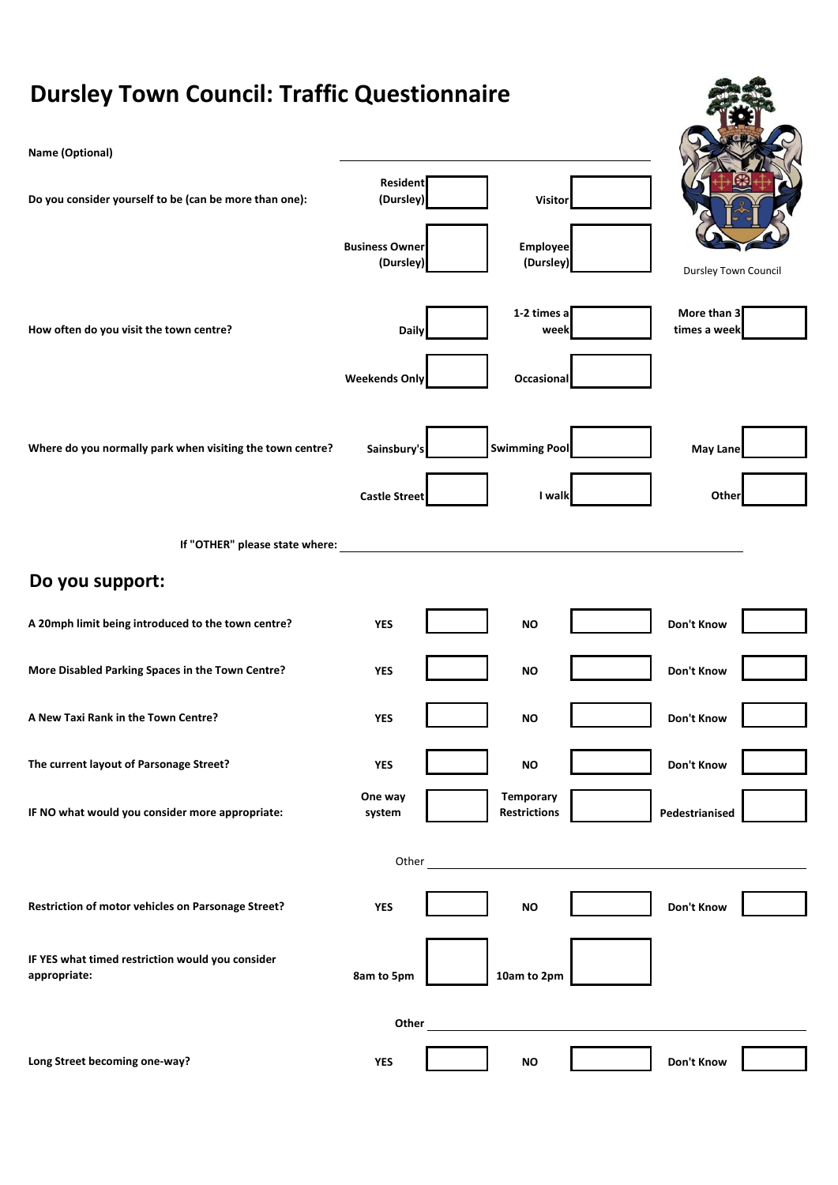## **Dursley Town Council: Traffic Questionnaire Name (Optional) Do you consider yourself to be (can be more than one): Resident (Dursley) Visitor Business Owner (Dursley) Employee (Dursley) How often do you visit the town centre? Daily 1-2 times a week More than 3 times a week Weekends Only Occasional Where do you normally park when visiting the town centre? Sainsbury's Swimming Pool May Lane Castle Street I walk Other If "OTHER" please state where: Do you support: A 20mph limit being introduced to the town centre? WES WES NO NO NO DON't Know More Disabled Parking Spaces in the Town Centre? <b>YES YES NO NO Don't Know A New Taxi Rank in the Town Centre?** *YES* **YES NO NO Don't Know The current layout of Parsonage Street?** *YES* **YES NO NO Don't Know IF NO what would you consider more appropriate: One way system Temporary Restrictions Pedestrianised Other Restriction of motor vehicles on Parsonage Street? YES YES NO NO DON't Know IF YES what timed restriction would you consider appropriate: appropriate: appropriate: 10am to 2pm Other Long Street becoming one-way? YES NO Don't Know** Dursley Town Council